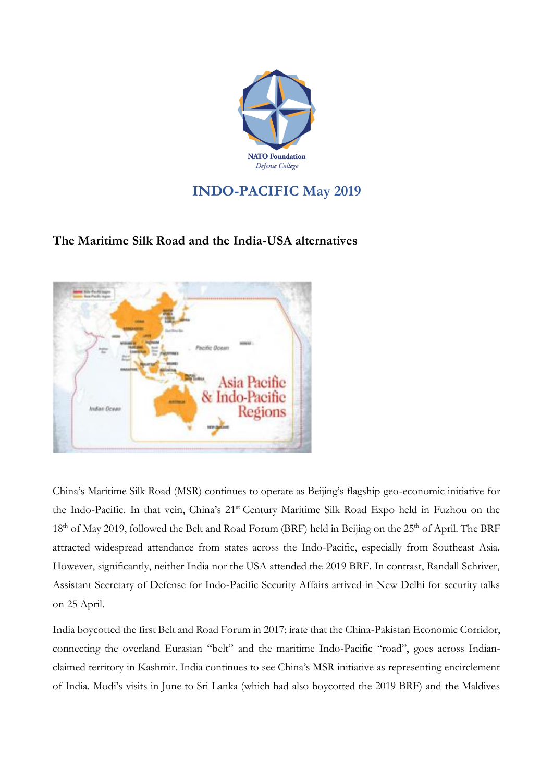

## **INDO-PACIFIC May 2019**

## **The Maritime Silk Road and the India-USA alternatives**



China's Maritime Silk Road (MSR) continues to operate as Beijing's flagship geo-economic initiative for the Indo-Pacific. In that vein, China's 21<sup>st</sup> Century Maritime Silk Road Expo held in Fuzhou on the 18<sup>th</sup> of May 2019, followed the Belt and Road Forum (BRF) held in Beijing on the 25<sup>th</sup> of April. The BRF attracted widespread attendance from states across the Indo-Pacific, especially from Southeast Asia. However, significantly, neither India nor the USA attended the 2019 BRF. In contrast, Randall Schriver, Assistant Secretary of Defense for Indo-Pacific Security Affairs arrived in New Delhi for security talks on 25 April.

India boycotted the first Belt and Road Forum in 2017; irate that the China-Pakistan Economic Corridor, connecting the overland Eurasian "belt" and the maritime Indo-Pacific "road", goes across Indianclaimed territory in Kashmir. India continues to see China's MSR initiative as representing encirclement of India. Modi's visits in June to Sri Lanka (which had also boycotted the 2019 BRF) and the Maldives